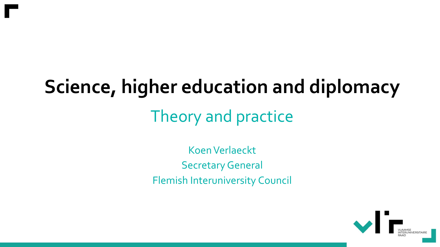#### **Science, higher education and diplomacy**

#### Theory and practice

Koen Verlaeckt **Secretary General** Flemish Interuniversity Council

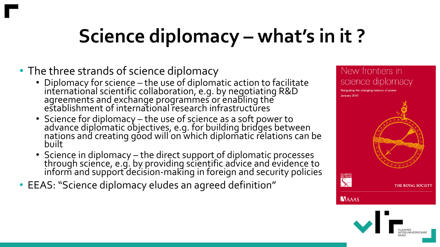### **Science diplomacy – what's in it ?**

- The three strands of science diplomacy
	- Diplomacy for science the use of diplomatic action to facilitate international scientific collaboration, e.g. by negotiating R&D agreements and exchange programmes or enabling the establishment of international research infrastructures
	- Science for diplomacy the use of science as a soft power to advance diplomatic objectives, e.g. for building bridges between nations and creating good will on which diplomatic relations can be built
	- Science in diplomacy the direct support of diplomatic processes through science, e.g. by providing scientific advice and evidence to inform and support decision-making in foreign and security policies
- EEAS: "Science diplomacy eludes an agreed definition"

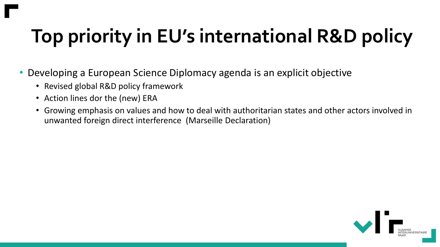# **Top priority in EU's international R&D policy**

- Developing a European Science Diplomacy agenda is an explicit objective
	- Revised global R&D policy framework
	- Action lines dor the (new) ERA
	- Growing emphasis on values and how to deal with authoritarian states and other actors involved in unwanted foreign direct interference (Marseille Declaration)

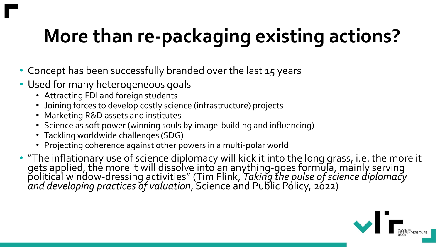# **More than re-packaging existing actions?**

- Concept has been successfully branded over the last 15 years
- Used for many heterogeneous goals
	- Attracting FDI and foreign students
	- Joining forces to develop costly science (infrastructure) projects
	- Marketing R&D assets and institutes
	- Science as soft power (winning souls by image-building and influencing)
	- Tackling worldwide challenges (SDG)
	- Projecting coherence against other powers in a multi-polar world
- "The inflationary use of science diplomacy will kick it into the long grass, i.e. the more it gets applied, thé more it will dissolve into an anything-goes formula, mainly serving political window-dressing activities" (Tim Flink, *Taking the pulse of science diplomacy and developing practices of valuation*, Science and Public Policy, 2022)

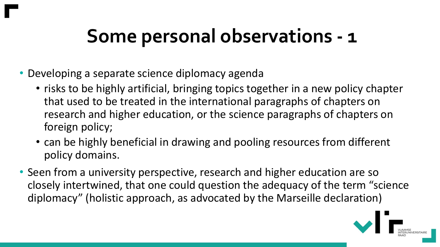#### **Some personal observations - 1**

- Developing a separate science diplomacy agenda
	- risks to be highly artificial, bringing topics together in a new policy chapter that used to be treated in the international paragraphs of chapters on research and higher education, or the science paragraphs of chapters on foreign policy;
	- can be highly beneficial in drawing and pooling resources from different policy domains.
- Seen from a university perspective, research and higher education are so closely intertwined, that one could question the adequacy of the term "science diplomacy" (holistic approach, as advocated by the Marseille declaration)

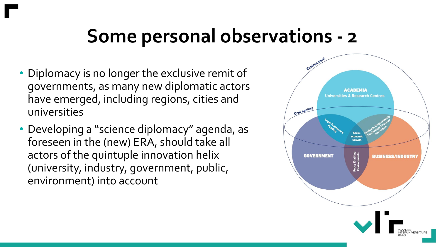#### **Some personal observations - 2**

- Diplomacy is no longer the exclusive remit of governments, as many new diplomatic actors have emerged, including regions, cities and universities
- Developing a "science diplomacy" agenda, as foreseen in the (new) ERA, should take all actors of the quintuple innovation helix (university, industry, government, public, environment) into account

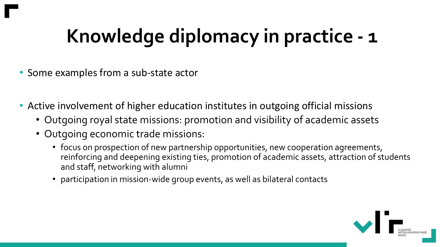### **Knowledge diplomacy in practice - 1**

- Some examples from a sub-state actor
- Active involvement of higher education institutes in outgoing official missions
	- Outgoing royal state missions: promotion and visibility of academic assets
	- Outgoing economic trade missions:
		- focus on prospection of new partnership opportunities, new cooperation agreements, reinforcing and deepening existing ties, promotion of academic assets, attraction of students and staff, networking with alumni
		- participation in mission-wide group events, as well as bilateral contacts

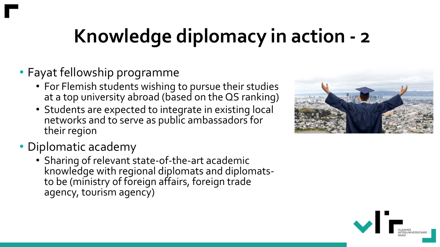# **Knowledge diplomacy in action - 2**

#### • Fayat fellowship programme

- For Flemish students wishing to pursue their studies at a top university abroad (based on the QS ranking)
- Students are expected to integrate in existing local networks and to serve as public ambassadors for their region
- Diplomatic academy
	- Sharing of relevant state-of-the-art academic knowledge with regional diplomats and diplomatsto be (ministry of foreign affairs, foreign trade agency, tourism agency)



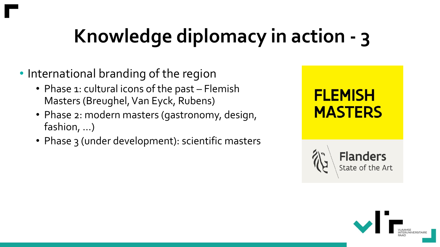# **Knowledge diplomacy in action - 3**

- International branding of the region
	- Phase 1: cultural icons of the past Flemish Masters (Breughel, Van Eyck, Rubens)
	- Phase 2: modern masters (gastronomy, design, fashion, …)
	- Phase 3 (under development): scientific masters





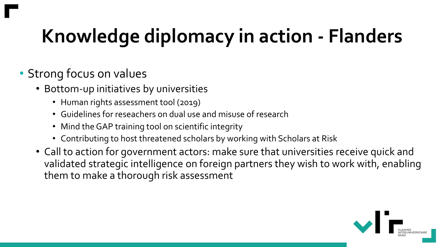### **Knowledge diplomacy in action - Flanders**

#### • Strong focus on values

- Bottom-up initiatives by universities
	- Human rights assessment tool (2019)
	- Guidelines for reseachers on dual use and misuse of research
	- Mind the GAP training tool on scientific integrity
	- Contributing to host threatened scholars by working with Scholars at Risk
- Call to action for government actors: make sure that universities receive quick and validated strategic intelligence on foreign partners they wish to work with, enabling them to make a thorough risk assessment